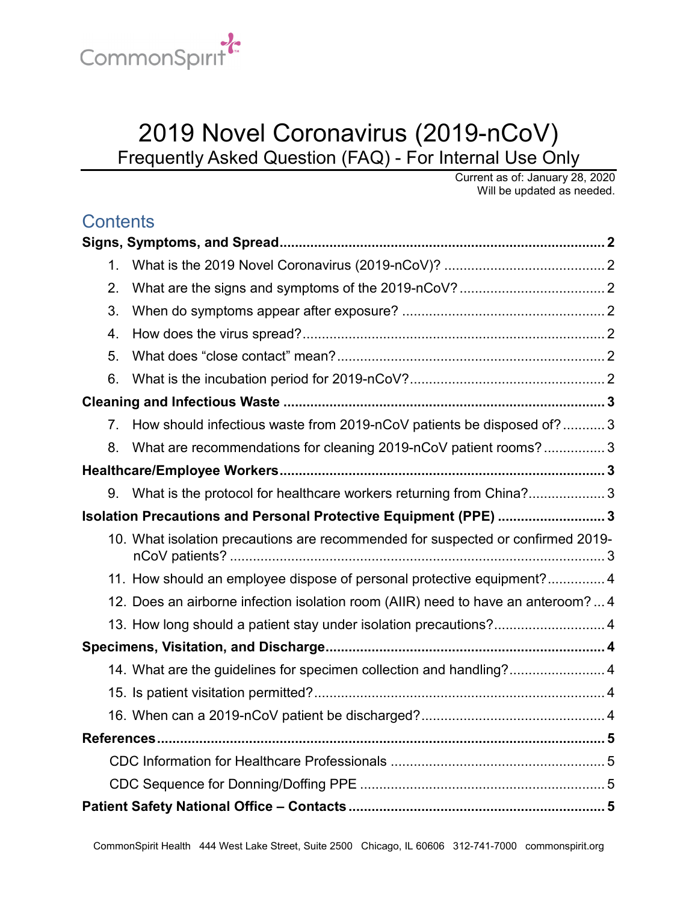

# 2019 Novel Coronavirus (2019-nCoV) Frequently Asked Question (FAQ) - For Internal Use Only

Current as of: January 28, 2020 Will be updated as needed.

## **Contents**

| 1.                                                               |                                                                                 |  |
|------------------------------------------------------------------|---------------------------------------------------------------------------------|--|
| 2.                                                               |                                                                                 |  |
| 3.                                                               |                                                                                 |  |
| 4.                                                               |                                                                                 |  |
| 5.                                                               |                                                                                 |  |
| 6.                                                               |                                                                                 |  |
|                                                                  |                                                                                 |  |
| 7 <sub>1</sub>                                                   | How should infectious waste from 2019-nCoV patients be disposed of? 3           |  |
| 8.                                                               | What are recommendations for cleaning 2019-nCoV patient rooms?3                 |  |
|                                                                  |                                                                                 |  |
|                                                                  | 9. What is the protocol for healthcare workers returning from China?3           |  |
| Isolation Precautions and Personal Protective Equipment (PPE)  3 |                                                                                 |  |
|                                                                  | 10. What isolation precautions are recommended for suspected or confirmed 2019- |  |
|                                                                  | 11. How should an employee dispose of personal protective equipment? 4          |  |
|                                                                  | 12. Does an airborne infection isolation room (AIIR) need to have an anteroom?4 |  |
|                                                                  | 13. How long should a patient stay under isolation precautions?4                |  |
|                                                                  |                                                                                 |  |
|                                                                  | 14. What are the guidelines for specimen collection and handling? 4             |  |
|                                                                  |                                                                                 |  |
|                                                                  |                                                                                 |  |
|                                                                  |                                                                                 |  |
|                                                                  |                                                                                 |  |
|                                                                  |                                                                                 |  |
|                                                                  |                                                                                 |  |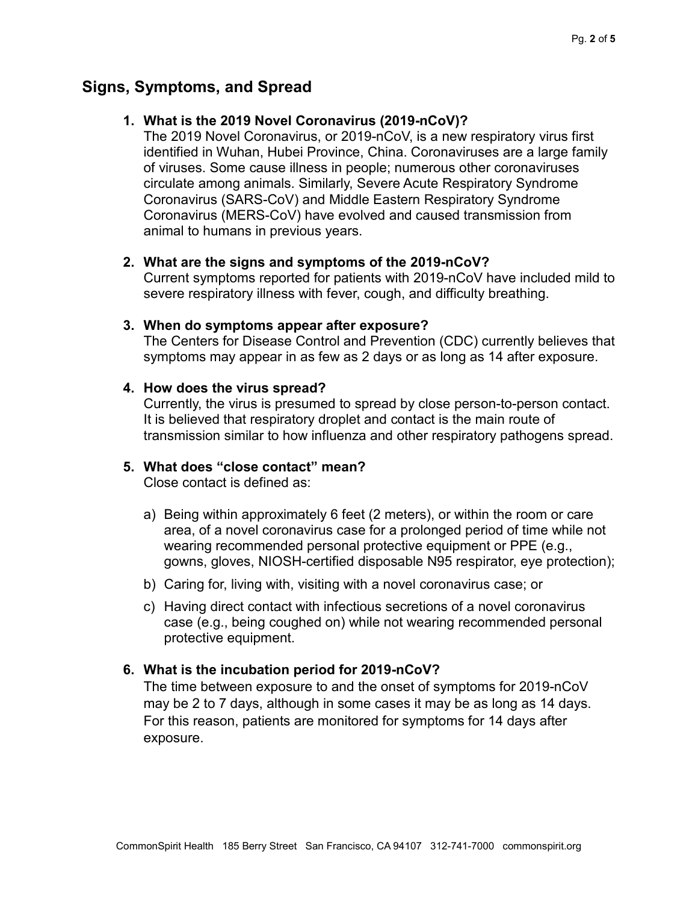### <span id="page-1-1"></span><span id="page-1-0"></span>**Signs, Symptoms, and Spread**

### **1. What is the 2019 Novel Coronavirus (2019-nCoV)?**

The 2019 Novel Coronavirus, or 2019-nCoV, is a new respiratory virus first identified in Wuhan, Hubei Province, China. Coronaviruses are a large family of viruses. Some cause illness in people; numerous other coronaviruses circulate among animals. Similarly, Severe Acute Respiratory Syndrome Coronavirus (SARS-CoV) and Middle Eastern Respiratory Syndrome Coronavirus (MERS-CoV) have evolved and caused transmission from animal to humans in previous years.

### <span id="page-1-2"></span>**2. What are the signs and symptoms of the 2019-nCoV?**

Current symptoms reported for patients with 2019-nCoV have included mild to severe respiratory illness with fever, cough, and difficulty breathing.

#### <span id="page-1-3"></span>**3. When do symptoms appear after exposure?**

The Centers for Disease Control and Prevention (CDC) currently believes that symptoms may appear in as few as 2 days or as long as 14 after exposure.

### <span id="page-1-4"></span>**4. How does the virus spread?**

Currently, the virus is presumed to spread by close person-to-person contact. It is believed that respiratory droplet and contact is the main route of transmission similar to how influenza and other respiratory pathogens spread.

### <span id="page-1-5"></span>**5. What does "close contact" mean?**

Close contact is defined as:

- a) Being within approximately 6 feet (2 meters), or within the room or care area, of a novel coronavirus case for a prolonged period of time while not wearing recommended personal protective equipment or PPE (e.g., gowns, gloves, NIOSH-certified disposable N95 respirator, eye protection);
- b) Caring for, living with, visiting with a novel coronavirus case; or
- c) Having direct contact with infectious secretions of a novel coronavirus case (e.g., being coughed on) while not wearing recommended personal protective equipment.

### <span id="page-1-6"></span>**6. What is the incubation period for 2019-nCoV?**

The time between exposure to and the onset of symptoms for 2019-nCoV may be 2 to 7 days, although in some cases it may be as long as 14 days. For this reason, patients are monitored for symptoms for 14 days after exposure.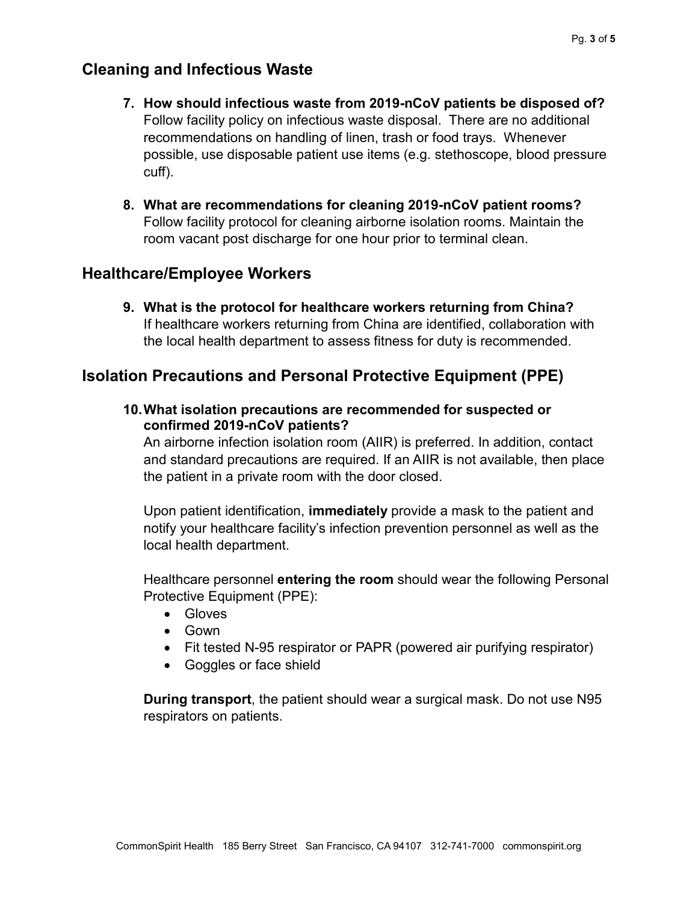### <span id="page-2-1"></span><span id="page-2-0"></span>**Cleaning and Infectious Waste**

- **7. How should infectious waste from 2019-nCoV patients be disposed of?** Follow facility policy on infectious waste disposal. There are no additional recommendations on handling of linen, trash or food trays. Whenever possible, use disposable patient use items (e.g. stethoscope, blood pressure cuff).
- <span id="page-2-2"></span>**8. What are recommendations for cleaning 2019-nCoV patient rooms?** Follow facility protocol for cleaning airborne isolation rooms. Maintain the room vacant post discharge for one hour prior to terminal clean.

### <span id="page-2-4"></span><span id="page-2-3"></span>**Healthcare/Employee Workers**

**9. What is the protocol for healthcare workers returning from China?** If healthcare workers returning from China are identified, collaboration with the local health department to assess fitness for duty is recommended.

### <span id="page-2-6"></span><span id="page-2-5"></span>**Isolation Precautions and Personal Protective Equipment (PPE)**

**10.What isolation precautions are recommended for suspected or confirmed 2019-nCoV patients?**

An airborne infection isolation room (AIIR) is preferred. In addition, contact and standard precautions are required. If an AIIR is not available, then place the patient in a private room with the door closed.

Upon patient identification, **immediately** provide a mask to the patient and notify your healthcare facility's infection prevention personnel as well as the local health department.

Healthcare personnel **entering the room** should wear the following Personal Protective Equipment (PPE):

- Gloves
- Gown
- Fit tested N-95 respirator or PAPR (powered air purifying respirator)
- Goggles or face shield

**During transport**, the patient should wear a surgical mask. Do not use N95 respirators on patients.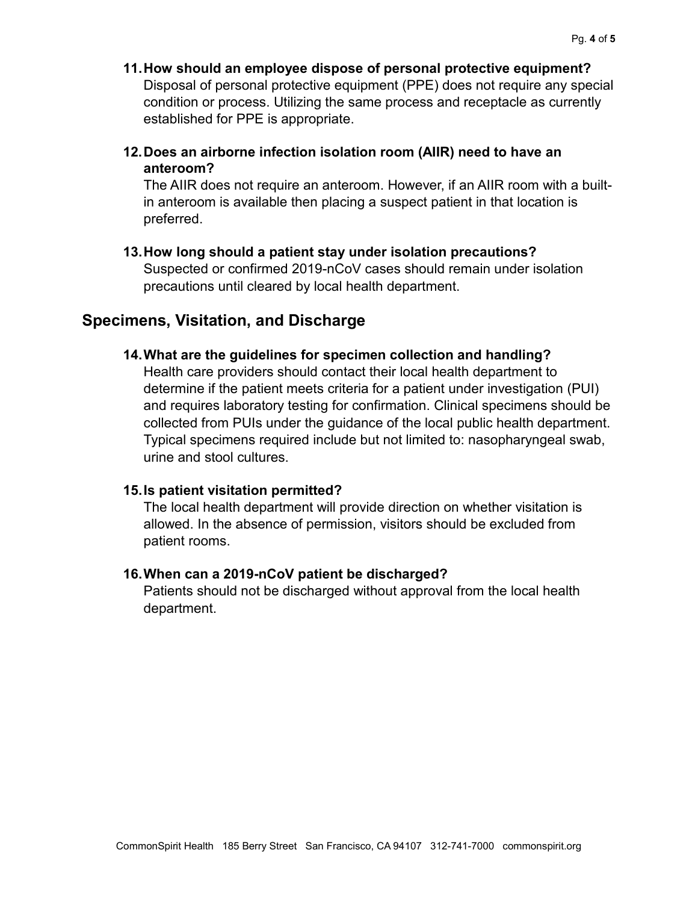- <span id="page-3-0"></span>**11.How should an employee dispose of personal protective equipment?** Disposal of personal protective equipment (PPE) does not require any special condition or process. Utilizing the same process and receptacle as currently established for PPE is appropriate.
- <span id="page-3-1"></span>**12.Does an airborne infection isolation room (AIIR) need to have an anteroom?**

The AIIR does not require an anteroom. However, if an AIIR room with a builtin anteroom is available then placing a suspect patient in that location is preferred.

<span id="page-3-2"></span>**13.How long should a patient stay under isolation precautions?**

Suspected or confirmed 2019-nCoV cases should remain under isolation precautions until cleared by local health department.

### <span id="page-3-4"></span><span id="page-3-3"></span>**Specimens, Visitation, and Discharge**

### **14.What are the guidelines for specimen collection and handling?**

Health care providers should contact their local health department to determine if the patient meets criteria for a patient under investigation (PUI) and requires laboratory testing for confirmation. Clinical specimens should be collected from PUIs under the guidance of the local public health department. Typical specimens required include but not limited to: nasopharyngeal swab, urine and stool cultures.

#### <span id="page-3-5"></span>**15.Is patient visitation permitted?**

The local health department will provide direction on whether visitation is allowed. In the absence of permission, visitors should be excluded from patient rooms.

#### <span id="page-3-6"></span>**16.When can a 2019-nCoV patient be discharged?**

Patients should not be discharged without approval from the local health department.